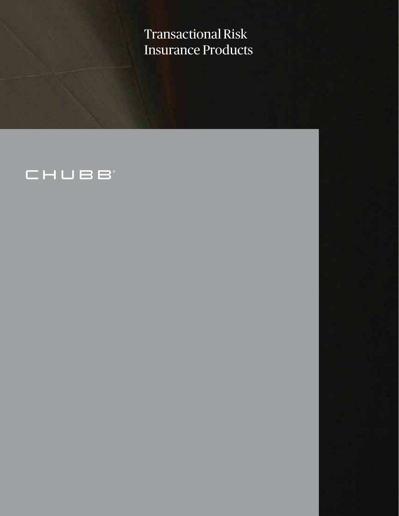Transactional Risk Insurance Products

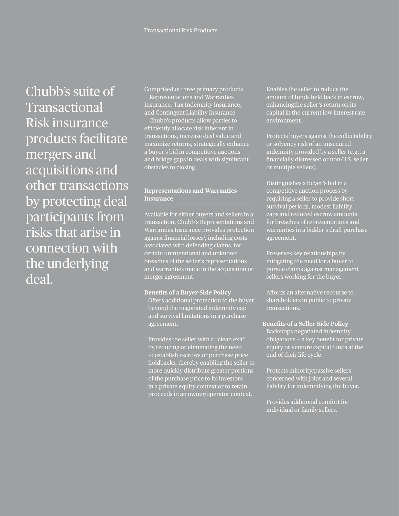Chubb's suite of Transactional Risk insurance products facilitate mergers and acquisitions and other transactions by protecting deal participants from risks that arise in connection with the underlying deal.

Comprised of three primary products — Representations and Warranties Insurance, Tax Indemnity Insurance, and Contingent Liability Insurance

— Chubb's products allow parties to efficiently allocate risk inherent in transactions, increase deal value and maximize returns, strategically enhance a buyer's bid in competitive auctions and bridge gaps in deals with signifcant obstacles to closing.

# **Representations and Warranties Insurance**

Available for either buyers and sellers in a transaction, Chubb's Representations and Warranties Insurance provides protection against financial losses<sup>1</sup>, including costs associated with defending claims, for certain unintentional and unknown breaches of the seller's representations and warranties made in the acquisition or merger agreement.

# **Benefts of a Buyer-Side Policy**

Offers additional protection to the buyer beyond the negotiated indemnity cap and survival limitations in a purchase agreement.

Provides the seller with a "clean exit" by reducing or eliminating the need to establish escrows or purchase price holdbacks, thereby enabling the seller to more quickly distribute greater portions of the purchase price to its investors in a private equity context or to retain proceeds in an owner/operator context.

Enables the seller to reduce the amount of funds held back in escrow, enhancingthe seller's return on its capital in the current low interest rate environment.

Protects buyers against the collectability or solvency risk of an unsecured indemnity provided by a seller (e.g., a fnancially distressed or non-U.S. seller or multiple sellers).

Distinguishes a buyer's bid in a competitive auction process by requiring a seller to provide short survival periods, modest liability caps and reduced escrow amounts for breaches of representations and warranties in a bidder's draft purchase agreement.

Preserves key relationships by mitigating the need for a buyer to pursue claims against management sellers working for the buyer.

Afords an alternative recourse to shareholders in public to private transactions.

**Benefts of a Seller-Side Policy**  Backstops negotiated indemnity obligations — a key beneft for private equity or venture capital funds at the end of their life cycle.

Protects minority/passive sellers concerned with joint and several liability for indemnifying the buyer.

Provides additional comfort for individual or family sellers.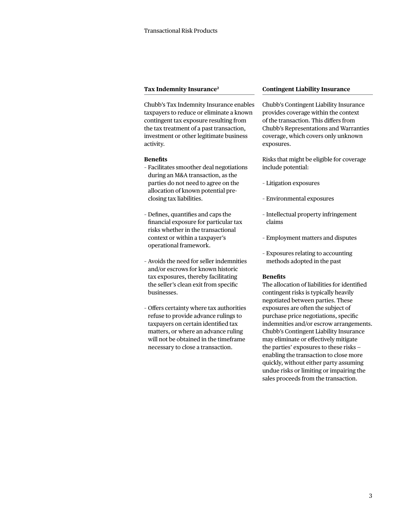### **Tax Indemnity Insurance2**

Chubb's Tax Indemnity Insurance enables taxpayers to reduce or eliminate a known contingent tax exposure resulting from the tax treatment of a past transaction, investment or other legitimate business activity.

#### **Benefts**

- Facilitates smoother deal negotiations during an M&A transaction, as the parties do not need to agree on the allocation of known potential preclosing tax liabilities.
- Defnes, quantifes and caps the fnancial exposure for particular tax risks whether in the transactional context or within a taxpayer's operational framework.
- Avoids the need for seller indemnities and/or escrows for known historic tax exposures, thereby facilitating the seller's clean exit from specifc businesses.
- Ofers certainty where tax authorities refuse to provide advance rulings to taxpayers on certain identifed tax matters, or where an advance ruling will not be obtained in the timeframe necessary to close a transaction.

#### **Contingent Liability Insurance**

Chubb's Contingent Liability Insurance provides coverage within the context of the transaction. This difers from Chubb's Representations and Warranties coverage, which covers only unknown exposures.

Risks that might be eligible for coverage include potential:

- Litigation exposures
- Environmental exposures
- Intellectual property infringement claims
- Employment matters and disputes
- Exposures relating to accounting methods adopted in the past

#### **Benefts**

The allocation of liabilities for identifed contingent risks is typically heavily negotiated between parties. These exposures are often the subject of purchase price negotiations, specifc indemnities and/or escrow arrangements. Chubb's Contingent Liability Insurance may eliminate or efectively mitigate the parties' exposures to these risks enabling the transaction to close more quickly, without either party assuming undue risks or limiting or impairing the sales proceeds from the transaction.